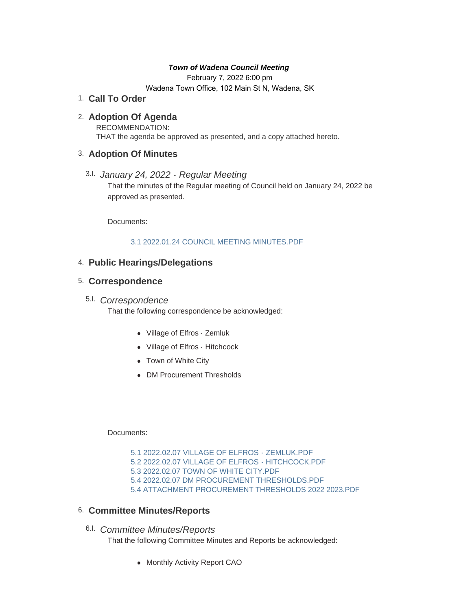### *Town of Wadena Council Meeting*

February 7, 2022 6:00 pm

Wadena Town Office, 102 Main St N, Wadena, SK

## **Call To Order** 1.

# **Adoption Of Agenda** 2.

RECOMMENDATION: THAT the agenda be approved as presented, and a copy attached hereto.

## **Adoption Of Minutes** 3.

*January 24, 2022 - Regular Meeting*  3.I. That the minutes of the Regular meeting of Council held on January 24, 2022 be approved as presented.

Documents:

### [3.1 2022.01.24 COUNCIL MEETING MINUTES.PDF](http://townofwadena.com/AgendaCenter/ViewFile/Item/3335?fileID=3974)

# **Public Hearings/Delegations** 4.

## **Correspondence** 5.

# *Correspondence* 5.I.

That the following correspondence be acknowledged:

- Village of Elfros Zemluk
- Village of Elfros Hitchcock
- Town of White City
- DM Procurement Thresholds

#### Documents:

[5.1 2022.02.07 VILLAGE OF ELFROS - ZEMLUK.PDF](http://townofwadena.com/AgendaCenter/ViewFile/Item/3339?fileID=3967) [5.2 2022.02.07 VILLAGE OF ELFROS - HITCHCOCK.PDF](http://townofwadena.com/AgendaCenter/ViewFile/Item/3339?fileID=3968) [5.3 2022.02.07 TOWN OF WHITE CITY.PDF](http://townofwadena.com/AgendaCenter/ViewFile/Item/3339?fileID=3969) [5.4 2022.02.07 DM PROCUREMENT THRESHOLDS.PDF](http://townofwadena.com/AgendaCenter/ViewFile/Item/3339?fileID=3970) [5.4 ATTACHMENT PROCUREMENT THRESHOLDS 2022 2023.PDF](http://townofwadena.com/AgendaCenter/ViewFile/Item/3339?fileID=3971)

### **Committee Minutes/Reports** 6.

*Committee Minutes/Reports* 6.I.

That the following Committee Minutes and Reports be acknowledged:

• Monthly Activity Report CAO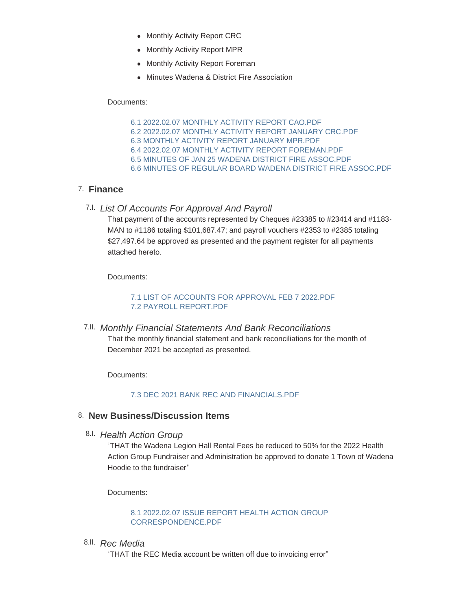- Monthly Activity Report CRC
- Monthly Activity Report MPR
- Monthly Activity Report Foreman
- Minutes Wadena & District Fire Association

Documents:

[6.1 2022.02.07 MONTHLY ACTIVITY REPORT CAO.PDF](http://townofwadena.com/AgendaCenter/ViewFile/Item/3364?fileID=4015) [6.2 2022.02.07 MONTHLY ACTIVITY REPORT JANUARY CRC.PDF](http://townofwadena.com/AgendaCenter/ViewFile/Item/3364?fileID=4016) [6.3 MONTHLY ACTIVITY REPORT JANUARY MPR.PDF](http://townofwadena.com/AgendaCenter/ViewFile/Item/3364?fileID=4011) [6.4 2022.02.07 MONTHLY ACTIVITY REPORT FOREMAN.PDF](http://townofwadena.com/AgendaCenter/ViewFile/Item/3364?fileID=4012) [6.5 MINUTES OF JAN 25 WADENA DISTRICT FIRE ASSOC.PDF](http://townofwadena.com/AgendaCenter/ViewFile/Item/3364?fileID=4013) [6.6 MINUTES OF REGULAR BOARD WADENA DISTRICT FIRE ASSOC.PDF](http://townofwadena.com/AgendaCenter/ViewFile/Item/3364?fileID=4014)

# **Finance** 7.

*List Of Accounts For Approval And Payroll* 7.I.

That payment of the accounts represented by Cheques #23385 to #23414 and #1183- MAN to #1186 totaling \$101,687.47; and payroll vouchers #2353 to #2385 totaling \$27,497.64 be approved as presented and the payment register for all payments attached hereto.

Documents:

### [7.1 LIST OF ACCOUNTS FOR APPROVAL FEB 7 2022.PDF](http://townofwadena.com/AgendaCenter/ViewFile/Item/3343?fileID=3975) [7.2 PAYROLL REPORT.PDF](http://townofwadena.com/AgendaCenter/ViewFile/Item/3343?fileID=3976)

*Monthly Financial Statements And Bank Reconciliations* 7.II. That the monthly financial statement and bank reconciliations for the month of December 2021 be accepted as presented.

Documents:

### [7.3 DEC 2021 BANK REC AND FINANCIALS.PDF](http://townofwadena.com/AgendaCenter/ViewFile/Item/3277?fileID=3978)

# **New Business/Discussion Items** 8.

*Health Action Group* 8.I.

"THAT the Wadena Legion Hall Rental Fees be reduced to 50% for the 2022 Health Action Group Fundraiser and Administration be approved to donate 1 Town of Wadena Hoodie to the fundraiser"

Documents:

[8.1 2022.02.07 ISSUE REPORT HEALTH ACTION GROUP](http://townofwadena.com/AgendaCenter/ViewFile/Item/3351?fileID=3960)  CORRESPONDENCE.PDF

*Rec Media* 8.II.

"THAT the REC Media account be written off due to invoicing error"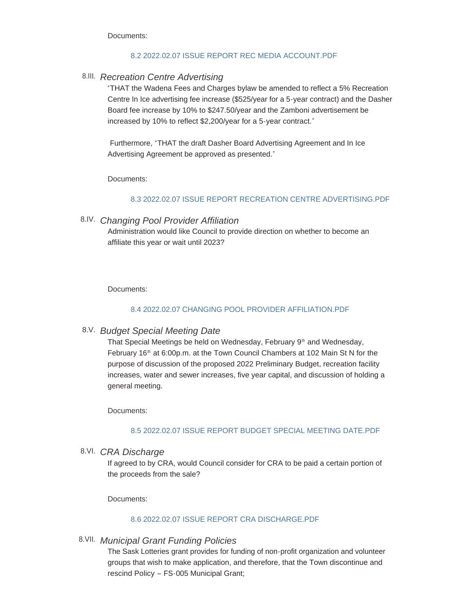Documents:

#### [8.2 2022.02.07 ISSUE REPORT REC MEDIA ACCOUNT.PDF](http://townofwadena.com/AgendaCenter/ViewFile/Item/3350?fileID=3972)

## *Recreation Centre Advertising* 8.III.

"THAT the Wadena Fees and Charges bylaw be amended to reflect a 5% Recreation Centre In Ice advertising fee increase (\$525/year for a 5-year contract) and the Dasher Board fee increase by 10% to \$247.50/year and the Zamboni advertisement be increased by 10% to reflect \$2,200/year for a 5-year contract."

Furthermore, "THAT the draft Dasher Board Advertising Agreement and In Ice Advertising Agreement be approved as presented."

Documents:

#### [8.3 2022.02.07 ISSUE REPORT RECREATION CENTRE ADVERTISING.PDF](http://townofwadena.com/AgendaCenter/ViewFile/Item/3348?fileID=3973)

### *Changing Pool Provider Affiliation* 8.IV.

Administration would like Council to provide direction on whether to become an affiliate this year or wait until 2023?

Documents:

#### [8.4 2022.02.07 CHANGING POOL PROVIDER AFFILIATION.PDF](http://townofwadena.com/AgendaCenter/ViewFile/Item/3346?fileID=3977)

### *Budget Special Meeting Date* 8.V.

That Special Meetings be held on Wednesday, February 9<sup>th</sup> and Wednesday, February 16<sup>th</sup> at 6:00p.m. at the Town Council Chambers at 102 Main St N for the purpose of discussion of the proposed 2022 Preliminary Budget, recreation facility increases, water and sewer increases, five year capital, and discussion of holding a general meeting.

Documents:

#### [8.5 2022.02.07 ISSUE REPORT BUDGET SPECIAL MEETING DATE.PDF](http://townofwadena.com/AgendaCenter/ViewFile/Item/3349?fileID=3979)

*CRA Discharge* 8.VI.

If agreed to by CRA, would Council consider for CRA to be paid a certain portion of the proceeds from the sale?

Documents:

#### [8.6 2022.02.07 ISSUE REPORT CRA DISCHARGE.PDF](http://townofwadena.com/AgendaCenter/ViewFile/Item/3347?fileID=3980)

*Municipal Grant Funding Policies* 8.VII.

The Sask Lotteries grant provides for funding of non-profit organization and volunteer groups that wish to make application, and therefore, that the Town discontinue and rescind Policy – FS-005 Municipal Grant;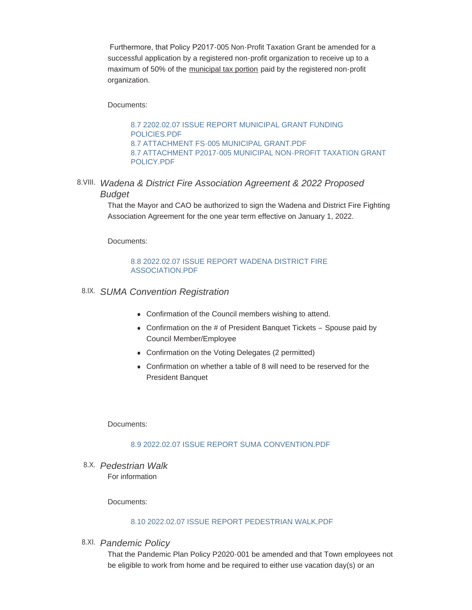Furthermore, that Policy P2017-005 Non-Profit Taxation Grant be amended for a successful application by a registered non-profit organization to receive up to a maximum of 50% of the municipal tax portion paid by the registered non-profit organization.

Documents:

[8.7 2202.02.07 ISSUE REPORT MUNICIPAL GRANT FUNDING](http://townofwadena.com/AgendaCenter/ViewFile/Item/3345?fileID=3981)  POLICIES.PDF [8.7 ATTACHMENT FS-005 MUNICIPAL GRANT.PDF](http://townofwadena.com/AgendaCenter/ViewFile/Item/3345?fileID=3982) [8.7 ATTACHMENT P2017-005 MUNICIPAL NON-PROFIT TAXATION GRANT](http://townofwadena.com/AgendaCenter/ViewFile/Item/3345?fileID=3983)  POLICY.PDF

*Wadena & District Fire Association Agreement & 2022 Proposed*  8.VIII. *Budget*

> That the Mayor and CAO be authorized to sign the Wadena and District Fire Fighting Association Agreement for the one year term effective on January 1, 2022.

Documents:

#### [8.8 2022.02.07 ISSUE REPORT WADENA DISTRICT FIRE](http://townofwadena.com/AgendaCenter/ViewFile/Item/3355?fileID=3984)  ASSOCIATION.PDF

## *SUMA Convention Registration* 8.IX.

- Confirmation of the Council members wishing to attend.
- Confirmation on the  $#$  of President Banquet Tickets Spouse paid by Council Member/Employee
- Confirmation on the Voting Delegates (2 permitted)
- Confirmation on whether a table of 8 will need to be reserved for the President Banquet

Documents:

#### [8.9 2022.02.07 ISSUE REPORT SUMA CONVENTION.PDF](http://townofwadena.com/AgendaCenter/ViewFile/Item/3356?fileID=3985)

*Pedestrian Walk* 8.X. For information

Documents:

#### [8.10 2022.02.07 ISSUE REPORT PEDESTRIAN WALK.PDF](http://townofwadena.com/AgendaCenter/ViewFile/Item/3357?fileID=3986)

*Pandemic Policy* 8.XI.

That the Pandemic Plan Policy P2020-001 be amended and that Town employees not be eligible to work from home and be required to either use vacation day(s) or an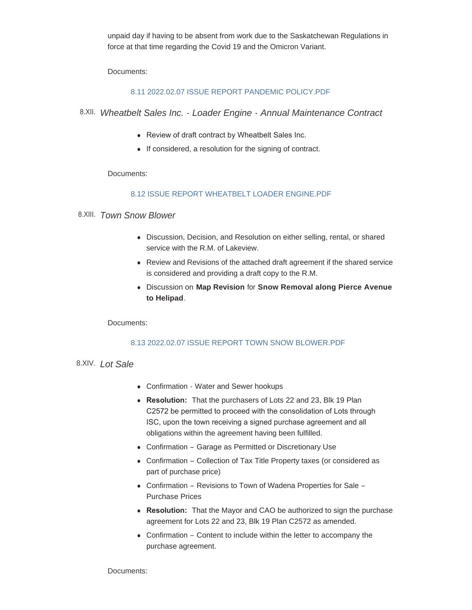unpaid day if having to be absent from work due to the Saskatchewan Regulations in force at that time regarding the Covid 19 and the Omicron Variant.

Documents:

### [8.11 2022.02.07 ISSUE REPORT PANDEMIC POLICY.PDF](http://townofwadena.com/AgendaCenter/ViewFile/Item/3358?fileID=3987)

- *Wheatbelt Sales Inc. Loader Engine Annual Maintenance Contract* 8.XII.
	- Review of draft contract by Wheatbelt Sales Inc.
	- $\bullet$  If considered, a resolution for the signing of contract.

Documents:

### [8.12 ISSUE REPORT WHEATBELT LOADER ENGINE.PDF](http://townofwadena.com/AgendaCenter/ViewFile/Item/3359?fileID=3988)

## *Town Snow Blower* 8.XIII.

- Discussion, Decision, and Resolution on either selling, rental, or shared service with the R.M. of Lakeview.
- Review and Revisions of the attached draft agreement if the shared service is considered and providing a draft copy to the R.M.
- <sup>l</sup> Discussion on **Map Revision** for **Snow Removal along Pierce Avenue to Helipad**.

Documents:

### [8.13 2022.02.07 ISSUE REPORT TOWN SNOW BLOWER.PDF](http://townofwadena.com/AgendaCenter/ViewFile/Item/3360?fileID=3989)

# 8.XIV. Lot Sale

- Confirmation Water and Sewer hookups
- Resolution: That the purchasers of Lots 22 and 23, Blk 19 Plan C2572 be permitted to proceed with the consolidation of Lots through ISC, upon the town receiving a signed purchase agreement and all obligations within the agreement having been fulfilled.
- Confirmation Garage as Permitted or Discretionary Use
- Confirmation Collection of Tax Title Property taxes (or considered as part of purchase price)
- Confirmation Revisions to Town of Wadena Properties for Sale Purchase Prices
- Resolution: That the Mayor and CAO be authorized to sign the purchase agreement for Lots 22 and 23, Blk 19 Plan C2572 as amended.
- $\bullet$  Confirmation Content to include within the letter to accompany the purchase agreement.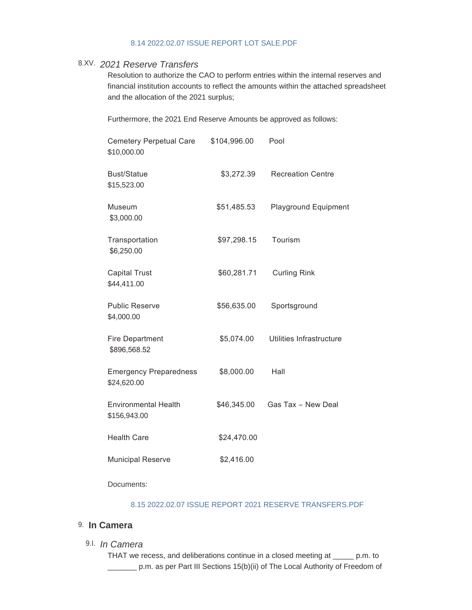#### [8.14 2022.02.07 ISSUE REPORT LOT SALE.PDF](http://townofwadena.com/AgendaCenter/ViewFile/Item/3361?fileID=3990)

# *2021 Reserve Transfers* 8.XV.

Resolution to authorize the CAO to perform entries within the internal reserves and financial institution accounts to reflect the amounts within the attached spreadsheet and the allocation of the 2021 surplus;

Furthermore, the 2021 End Reserve Amounts be approved as follows:

| <b>Cemetery Perpetual Care</b><br>\$10,000.00 | \$104,996.00 | Pool                        |
|-----------------------------------------------|--------------|-----------------------------|
| <b>Bust/Statue</b><br>\$15,523.00             | \$3,272.39   | <b>Recreation Centre</b>    |
| Museum<br>\$3,000.00                          | \$51,485.53  | <b>Playground Equipment</b> |
| Transportation<br>\$6,250.00                  | \$97,298.15  | Tourism                     |
| <b>Capital Trust</b><br>\$44,411.00           | \$60,281.71  | <b>Curling Rink</b>         |
| <b>Public Reserve</b><br>\$4,000.00           | \$56,635.00  | Sportsground                |
| <b>Fire Department</b><br>\$896,568.52        | \$5,074.00   | Utilities Infrastructure    |
| <b>Emergency Preparedness</b><br>\$24,620.00  | \$8,000.00   | Hall                        |
| <b>Environmental Health</b><br>\$156,943.00   | \$46,345.00  | Gas Tax - New Deal          |
| <b>Health Care</b>                            | \$24,470.00  |                             |
| <b>Municipal Reserve</b>                      | \$2,416.00   |                             |

Documents:

#### [8.15 2022.02.07 ISSUE REPORT 2021 RESERVE TRANSFERS.PDF](http://townofwadena.com/AgendaCenter/ViewFile/Item/3362?fileID=3991)

## 9. In Camera

*In Camera* 9.I.

THAT we recess, and deliberations continue in a closed meeting at \_\_\_\_\_ p.m. to \_\_\_\_\_\_\_ p.m. as per Part III Sections 15(b)(ii) of The Local Authority of Freedom of